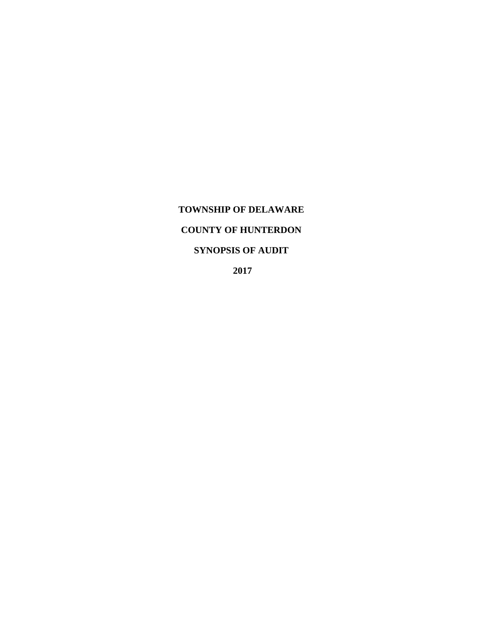# **TOWNSHIP OF DELAWARE COUNTY OF HUNTERDON SYNOPSIS OF AUDIT**

 **2017**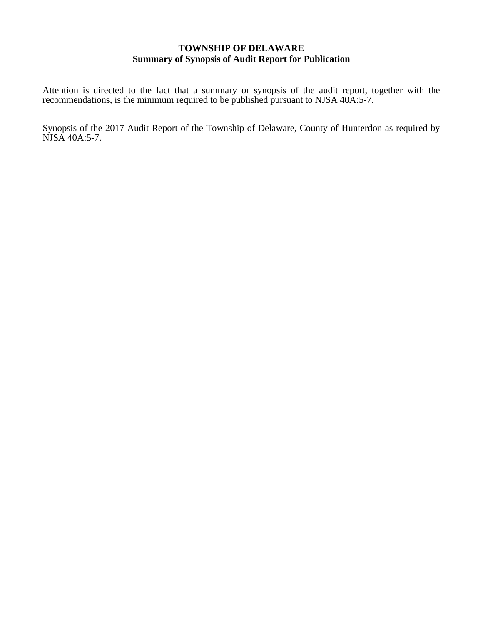## **TOWNSHIP OF DELAWARE Summary of Synopsis of Audit Report for Publication**

Attention is directed to the fact that a summary or synopsis of the audit report, together with the recommendations, is the minimum required to be published pursuant to NJSA 40A:5-7.

Synopsis of the 2017 Audit Report of the Township of Delaware, County of Hunterdon as required by NJSA 40A:5-7.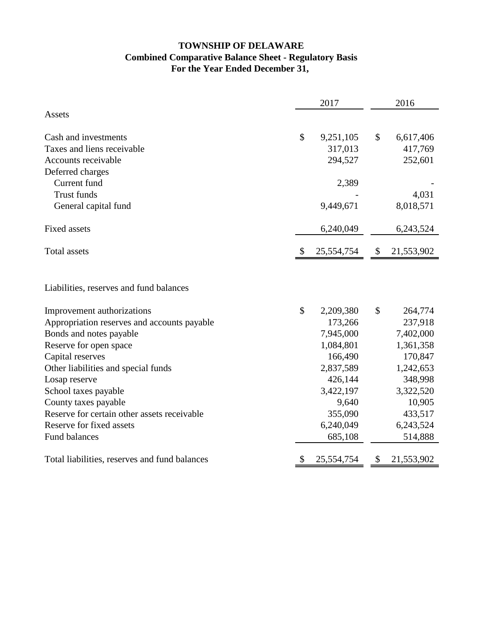## **TOWNSHIP OF DELAWARE Combined Comparative Balance Sheet - Regulatory Basis For the Year Ended December 31,**

|                                                                                                      |               | 2017                              | 2016          |                                 |  |  |
|------------------------------------------------------------------------------------------------------|---------------|-----------------------------------|---------------|---------------------------------|--|--|
| Assets                                                                                               |               |                                   |               |                                 |  |  |
| Cash and investments                                                                                 | $\mathcal{S}$ | 9,251,105                         | \$            | 6,617,406                       |  |  |
| Taxes and liens receivable                                                                           |               | 317,013                           |               | 417,769                         |  |  |
| Accounts receivable                                                                                  |               | 294,527                           |               | 252,601                         |  |  |
| Deferred charges                                                                                     |               |                                   |               |                                 |  |  |
| Current fund                                                                                         |               | 2,389                             |               |                                 |  |  |
| <b>Trust funds</b>                                                                                   |               |                                   |               | 4,031                           |  |  |
| General capital fund                                                                                 |               | 9,449,671                         |               | 8,018,571                       |  |  |
| Fixed assets                                                                                         |               | 6,240,049                         |               | 6,243,524                       |  |  |
| <b>Total assets</b>                                                                                  | æ.            | 25,554,754                        | $\mathcal{S}$ | 21,553,902                      |  |  |
| Improvement authorizations<br>Appropriation reserves and accounts payable<br>Bonds and notes payable | \$            | 2,209,380<br>173,266<br>7,945,000 | $\mathcal{S}$ | 264,774<br>237,918<br>7,402,000 |  |  |
| Reserve for open space                                                                               |               | 1,084,801                         |               | 1,361,358                       |  |  |
| Capital reserves                                                                                     |               | 166,490                           |               | 170,847                         |  |  |
| Other liabilities and special funds                                                                  |               | 2,837,589                         |               | 1,242,653                       |  |  |
| Losap reserve                                                                                        |               | 426,144                           |               | 348,998                         |  |  |
| School taxes payable                                                                                 |               | 3,422,197                         |               | 3,322,520                       |  |  |
| County taxes payable                                                                                 |               | 9,640                             |               | 10,905                          |  |  |
| Reserve for certain other assets receivable                                                          |               | 355,090                           |               | 433,517                         |  |  |
| Reserve for fixed assets                                                                             |               | 6,240,049                         |               | 6,243,524                       |  |  |
| Fund balances                                                                                        |               | 685,108                           |               | 514,888                         |  |  |
| Total liabilities, reserves and fund balances                                                        | S             | 25,554,754                        | \$            | 21,553,902                      |  |  |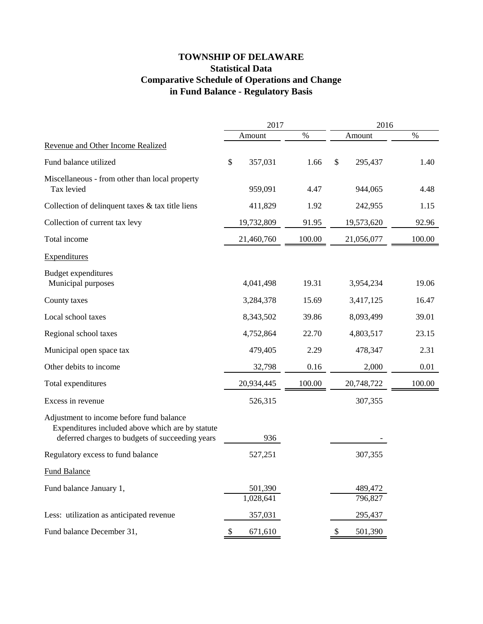## **TOWNSHIP OF DELAWARE Statistical Data Comparative Schedule of Operations and Change in Fund Balance - Regulatory Basis**

|                                                                                                                                                 |    | 2017                 |        |    | 2016               |        |  |
|-------------------------------------------------------------------------------------------------------------------------------------------------|----|----------------------|--------|----|--------------------|--------|--|
|                                                                                                                                                 |    | Amount               | $\%$   |    | Amount             | $\%$   |  |
| Revenue and Other Income Realized                                                                                                               |    |                      |        |    |                    |        |  |
| Fund balance utilized                                                                                                                           | \$ | 357,031              | 1.66   | \$ | 295,437            | 1.40   |  |
| Miscellaneous - from other than local property<br>Tax levied                                                                                    |    | 959,091              | 4.47   |    | 944,065            | 4.48   |  |
| Collection of delinquent taxes & tax title liens                                                                                                |    | 411,829              | 1.92   |    | 242,955            | 1.15   |  |
| Collection of current tax levy                                                                                                                  |    | 19,732,809           | 91.95  |    | 19,573,620         | 92.96  |  |
| Total income                                                                                                                                    |    | 21,460,760           | 100.00 |    | 21,056,077         | 100.00 |  |
| <b>Expenditures</b>                                                                                                                             |    |                      |        |    |                    |        |  |
| <b>Budget expenditures</b><br>Municipal purposes                                                                                                |    | 4,041,498            | 19.31  |    | 3,954,234          | 19.06  |  |
| County taxes                                                                                                                                    |    | 3,284,378            | 15.69  |    | 3,417,125          | 16.47  |  |
| Local school taxes                                                                                                                              |    | 8,343,502            | 39.86  |    | 8,093,499          | 39.01  |  |
| Regional school taxes                                                                                                                           |    | 4,752,864            | 22.70  |    | 4,803,517          | 23.15  |  |
| Municipal open space tax                                                                                                                        |    | 479,405              | 2.29   |    | 478,347            | 2.31   |  |
| Other debits to income                                                                                                                          |    | 32,798               | 0.16   |    | 2,000              | 0.01   |  |
| Total expenditures                                                                                                                              |    | 20,934,445           | 100.00 |    | 20,748,722         | 100.00 |  |
| Excess in revenue                                                                                                                               |    | 526,315              |        |    | 307,355            |        |  |
| Adjustment to income before fund balance<br>Expenditures included above which are by statute<br>deferred charges to budgets of succeeding years |    | 936                  |        |    |                    |        |  |
| Regulatory excess to fund balance                                                                                                               |    | 527,251              |        |    | 307,355            |        |  |
| <b>Fund Balance</b>                                                                                                                             |    |                      |        |    |                    |        |  |
| Fund balance January 1,                                                                                                                         |    | 501,390<br>1,028,641 |        |    | 489,472<br>796,827 |        |  |
| Less: utilization as anticipated revenue                                                                                                        |    | 357,031              |        |    | 295,437            |        |  |
| Fund balance December 31,                                                                                                                       | \$ | 671,610              |        | \$ | 501,390            |        |  |